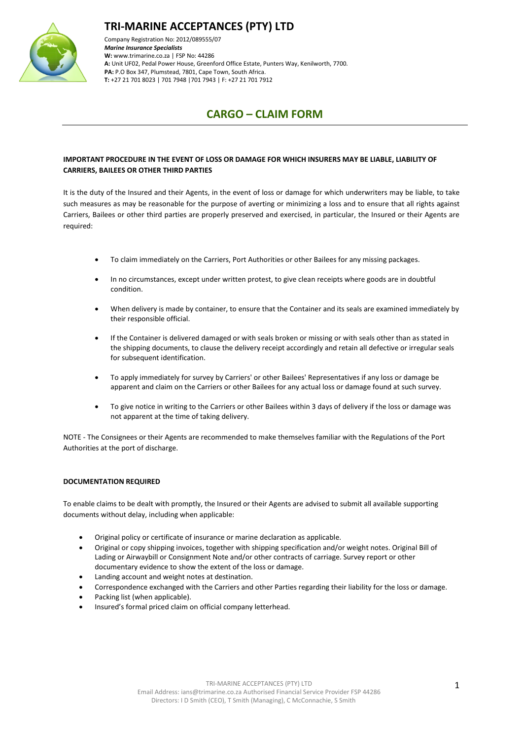



Company Registration No: 2012/089555/07 *Marine Insurance Specialists*  **W:** [www.trimarine.co.za](http://www.trimarine.co.za/) | FSP No: 44286 **A:** Unit UF02, Pedal Power House, Greenford Office Estate, Punters Way, Kenilworth, 7700. **PA:** P.O Box 347, Plumstead, 7801, Cape Town, South Africa. **T:** +27 21 701 8023 | 701 7948 |701 7943 | F: +27 21 701 7912

## **CARGO – CLAIM FORM**

### **IMPORTANT PROCEDURE IN THE EVENT OF LOSS OR DAMAGE FOR WHICH INSURERS MAY BE LIABLE, LIABILITY OF CARRIERS, BAILEES OR OTHER THIRD PARTIES**

It is the duty of the Insured and their Agents, in the event of loss or damage for which underwriters may be liable, to take such measures as may be reasonable for the purpose of averting or minimizing a loss and to ensure that all rights against Carriers, Bailees or other third parties are properly preserved and exercised, in particular, the Insured or their Agents are required:

- To claim immediately on the Carriers, Port Authorities or other Bailees for any missing packages.
- In no circumstances, except under written protest, to give clean receipts where goods are in doubtful condition.
- When delivery is made by container, to ensure that the Container and its seals are examined immediately by their responsible official.
- If the Container is delivered damaged or with seals broken or missing or with seals other than as stated in the shipping documents, to clause the delivery receipt accordingly and retain all defective or irregular seals for subsequent identification.
- To apply immediately for survey by Carriers' or other Bailees' Representatives if any loss or damage be apparent and claim on the Carriers or other Bailees for any actual loss or damage found at such survey.
- To give notice in writing to the Carriers or other Bailees within 3 days of delivery if the loss or damage was not apparent at the time of taking delivery.

NOTE - The Consignees or their Agents are recommended to make themselves familiar with the Regulations of the Port Authorities at the port of discharge.

#### **DOCUMENTATION REQUIRED**

To enable claims to be dealt with promptly, the Insured or their Agents are advised to submit all available supporting documents without delay, including when applicable:

- Original policy or certificate of insurance or marine declaration as applicable.
- Original or copy shipping invoices, together with shipping specification and/or weight notes. Original Bill of Lading or Airwaybill or Consignment Note and/or other contracts of carriage. Survey report or other documentary evidence to show the extent of the loss or damage.
- Landing account and weight notes at destination.
- Correspondence exchanged with the Carriers and other Parties regarding their liability for the loss or damage.
- Packing list (when applicable).
- Insured's formal priced claim on official company letterhead.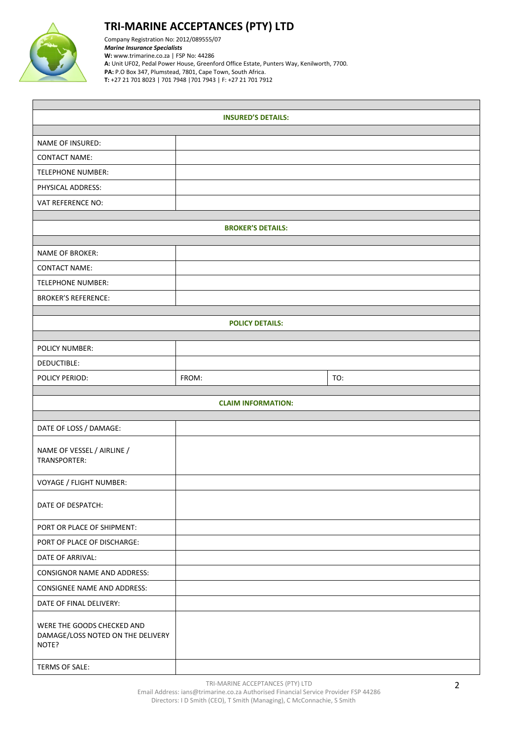

# **TRI-MARINE ACCEPTANCES (PTY) LTD**

Company Registration No: 2012/089555/07 *Marine Insurance Specialists*  **W:** [www.trimarine.co.za](http://www.trimarine.co.za/) | FSP No: 44286 **A:** Unit UF02, Pedal Power House, Greenford Office Estate, Punters Way, Kenilworth, 7700. **PA:** P.O Box 347, Plumstead, 7801, Cape Town, South Africa. **T:** +27 21 701 8023 | 701 7948 |701 7943 | F: +27 21 701 7912

| <b>INSURED'S DETAILS:</b>                                                |                           |     |  |  |  |  |  |
|--------------------------------------------------------------------------|---------------------------|-----|--|--|--|--|--|
|                                                                          |                           |     |  |  |  |  |  |
| NAME OF INSURED:                                                         |                           |     |  |  |  |  |  |
| <b>CONTACT NAME:</b>                                                     |                           |     |  |  |  |  |  |
| <b>TELEPHONE NUMBER:</b>                                                 |                           |     |  |  |  |  |  |
| PHYSICAL ADDRESS:                                                        |                           |     |  |  |  |  |  |
| VAT REFERENCE NO:                                                        |                           |     |  |  |  |  |  |
| <b>BROKER'S DETAILS:</b>                                                 |                           |     |  |  |  |  |  |
|                                                                          |                           |     |  |  |  |  |  |
| NAME OF BROKER:                                                          |                           |     |  |  |  |  |  |
| <b>CONTACT NAME:</b>                                                     |                           |     |  |  |  |  |  |
| <b>TELEPHONE NUMBER:</b>                                                 |                           |     |  |  |  |  |  |
| <b>BROKER'S REFERENCE:</b>                                               |                           |     |  |  |  |  |  |
|                                                                          | <b>POLICY DETAILS:</b>    |     |  |  |  |  |  |
|                                                                          |                           |     |  |  |  |  |  |
| <b>POLICY NUMBER:</b>                                                    |                           |     |  |  |  |  |  |
| DEDUCTIBLE:                                                              |                           |     |  |  |  |  |  |
| POLICY PERIOD:                                                           | FROM:                     | TO: |  |  |  |  |  |
|                                                                          |                           |     |  |  |  |  |  |
|                                                                          | <b>CLAIM INFORMATION:</b> |     |  |  |  |  |  |
| DATE OF LOSS / DAMAGE:                                                   |                           |     |  |  |  |  |  |
| NAME OF VESSEL / AIRLINE /<br>TRANSPORTER:                               |                           |     |  |  |  |  |  |
| VOYAGE / FLIGHT NUMBER:                                                  |                           |     |  |  |  |  |  |
| DATE OF DESPATCH:                                                        |                           |     |  |  |  |  |  |
| PORT OR PLACE OF SHIPMENT:                                               |                           |     |  |  |  |  |  |
| PORT OF PLACE OF DISCHARGE:                                              |                           |     |  |  |  |  |  |
| DATE OF ARRIVAL:                                                         |                           |     |  |  |  |  |  |
| <b>CONSIGNOR NAME AND ADDRESS:</b>                                       |                           |     |  |  |  |  |  |
| <b>CONSIGNEE NAME AND ADDRESS:</b>                                       |                           |     |  |  |  |  |  |
| DATE OF FINAL DELIVERY:                                                  |                           |     |  |  |  |  |  |
| WERE THE GOODS CHECKED AND<br>DAMAGE/LOSS NOTED ON THE DELIVERY<br>NOTE? |                           |     |  |  |  |  |  |
| TERMS OF SALE:                                                           |                           |     |  |  |  |  |  |

TRI-MARINE ACCEPTANCES (PTY) LTD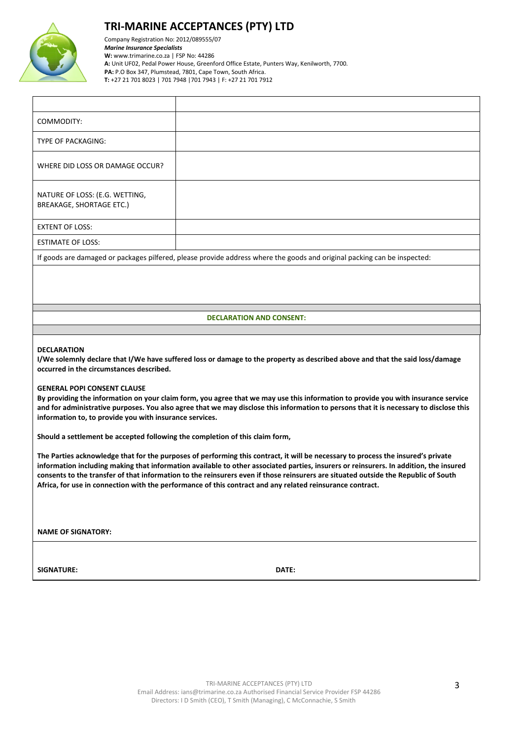

## **TRI-MARINE ACCEPTANCES (PTY) LTD**

Company Registration No: 2012/089555/07 *Marine Insurance Specialists*  **W:** [www.trimarine.co.za](http://www.trimarine.co.za/) | FSP No: 44286 **A:** Unit UF02, Pedal Power House, Greenford Office Estate, Punters Way, Kenilworth, 7700. **PA:** P.O Box 347, Plumstead, 7801, Cape Town, South Africa. **T:** +27 21 701 8023 | 701 7948 |701 7943 | F: +27 21 701 7912

| COMMODITY:                                                                                                               |  |  |  |  |
|--------------------------------------------------------------------------------------------------------------------------|--|--|--|--|
| TYPE OF PACKAGING:                                                                                                       |  |  |  |  |
| WHERE DID LOSS OR DAMAGE OCCUR?                                                                                          |  |  |  |  |
| NATURE OF LOSS: (E.G. WETTING,<br><b>BREAKAGE, SHORTAGE ETC.)</b>                                                        |  |  |  |  |
| <b>EXTENT OF LOSS:</b>                                                                                                   |  |  |  |  |
| <b>ESTIMATE OF LOSS:</b>                                                                                                 |  |  |  |  |
| If goods are damaged or packages pilfered, please provide address where the goods and original packing can be inspected: |  |  |  |  |

**DECLARATION AND CONSENT:**

#### **DECLARATION**

**I/We solemnly declare that I/We have suffered loss or damage to the property as described above and that the said loss/damage occurred in the circumstances described.**

#### **GENERAL POPI CONSENT CLAUSE**

**By providing the information on your claim form, you agree that we may use this information to provide you with insurance service and for administrative purposes. You also agree that we may disclose this information to persons that it is necessary to disclose this information to, to provide you with insurance services.**

**Should a settlement be accepted following the completion of this claim form,** 

**The Parties acknowledge that for the purposes of performing this contract, it will be necessary to process the insured's private information including making that information available to other associated parties, insurers or reinsurers. In addition, the insured consents to the transfer of that information to the reinsurers even if those reinsurers are situated outside the Republic of South Africa, for use in connection with the performance of this contract and any related reinsurance contract.**

**NAME OF SIGNATORY:** 

**SIGNATURE: DATE:**